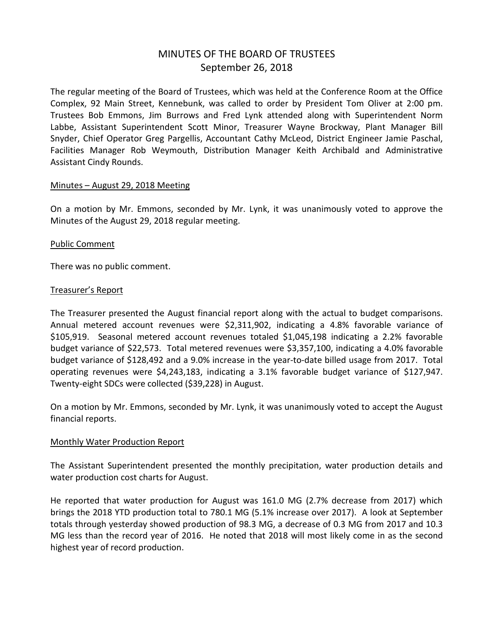# MINUTES OF THE BOARD OF TRUSTEES September 26, 2018

The regular meeting of the Board of Trustees, which was held at the Conference Room at the Office Complex, 92 Main Street, Kennebunk, was called to order by President Tom Oliver at 2:00 pm. Trustees Bob Emmons, Jim Burrows and Fred Lynk attended along with Superintendent Norm Labbe, Assistant Superintendent Scott Minor, Treasurer Wayne Brockway, Plant Manager Bill Snyder, Chief Operator Greg Pargellis, Accountant Cathy McLeod, District Engineer Jamie Paschal, Facilities Manager Rob Weymouth, Distribution Manager Keith Archibald and Administrative Assistant Cindy Rounds.

#### Minutes – August 29, 2018 Meeting

On a motion by Mr. Emmons, seconded by Mr. Lynk, it was unanimously voted to approve the Minutes of the August 29, 2018 regular meeting.

#### Public Comment

There was no public comment.

#### Treasurer's Report

The Treasurer presented the August financial report along with the actual to budget comparisons. Annual metered account revenues were \$2,311,902, indicating a 4.8% favorable variance of \$105,919. Seasonal metered account revenues totaled \$1,045,198 indicating a 2.2% favorable budget variance of \$22,573. Total metered revenues were \$3,357,100, indicating a 4.0% favorable budget variance of \$128,492 and a 9.0% increase in the year-to-date billed usage from 2017. Total operating revenues were \$4,243,183, indicating a 3.1% favorable budget variance of \$127,947. Twenty-eight SDCs were collected (\$39,228) in August.

On a motion by Mr. Emmons, seconded by Mr. Lynk, it was unanimously voted to accept the August financial reports.

#### Monthly Water Production Report

The Assistant Superintendent presented the monthly precipitation, water production details and water production cost charts for August.

He reported that water production for August was 161.0 MG (2.7% decrease from 2017) which brings the 2018 YTD production total to 780.1 MG (5.1% increase over 2017). A look at September totals through yesterday showed production of 98.3 MG, a decrease of 0.3 MG from 2017 and 10.3 MG less than the record year of 2016. He noted that 2018 will most likely come in as the second highest year of record production.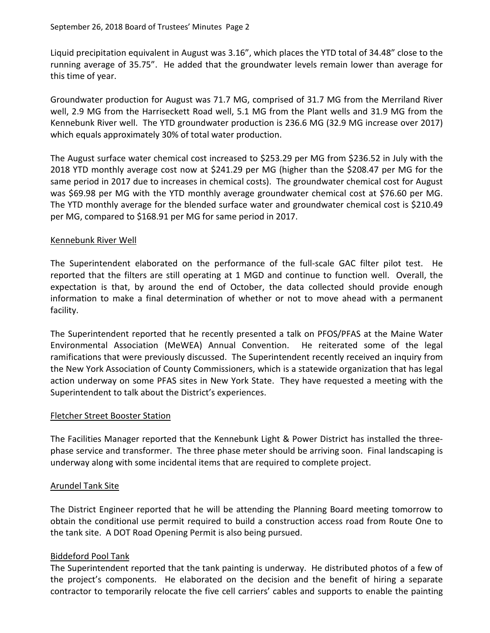Liquid precipitation equivalent in August was 3.16", which places the YTD total of 34.48" close to the running average of 35.75". He added that the groundwater levels remain lower than average for this time of year.

Groundwater production for August was 71.7 MG, comprised of 31.7 MG from the Merriland River well, 2.9 MG from the Harriseckett Road well, 5.1 MG from the Plant wells and 31.9 MG from the Kennebunk River well. The YTD groundwater production is 236.6 MG (32.9 MG increase over 2017) which equals approximately 30% of total water production.

The August surface water chemical cost increased to \$253.29 per MG from \$236.52 in July with the 2018 YTD monthly average cost now at \$241.29 per MG (higher than the \$208.47 per MG for the same period in 2017 due to increases in chemical costs). The groundwater chemical cost for August was \$69.98 per MG with the YTD monthly average groundwater chemical cost at \$76.60 per MG. The YTD monthly average for the blended surface water and groundwater chemical cost is \$210.49 per MG, compared to \$168.91 per MG for same period in 2017.

# Kennebunk River Well

The Superintendent elaborated on the performance of the full-scale GAC filter pilot test. He reported that the filters are still operating at 1 MGD and continue to function well. Overall, the expectation is that, by around the end of October, the data collected should provide enough information to make a final determination of whether or not to move ahead with a permanent facility.

The Superintendent reported that he recently presented a talk on PFOS/PFAS at the Maine Water Environmental Association (MeWEA) Annual Convention. He reiterated some of the legal ramifications that were previously discussed. The Superintendent recently received an inquiry from the New York Association of County Commissioners, which is a statewide organization that has legal action underway on some PFAS sites in New York State. They have requested a meeting with the Superintendent to talk about the District's experiences.

#### Fletcher Street Booster Station

The Facilities Manager reported that the Kennebunk Light & Power District has installed the threephase service and transformer. The three phase meter should be arriving soon. Final landscaping is underway along with some incidental items that are required to complete project.

# Arundel Tank Site

The District Engineer reported that he will be attending the Planning Board meeting tomorrow to obtain the conditional use permit required to build a construction access road from Route One to the tank site. A DOT Road Opening Permit is also being pursued.

# Biddeford Pool Tank

The Superintendent reported that the tank painting is underway. He distributed photos of a few of the project's components. He elaborated on the decision and the benefit of hiring a separate contractor to temporarily relocate the five cell carriers' cables and supports to enable the painting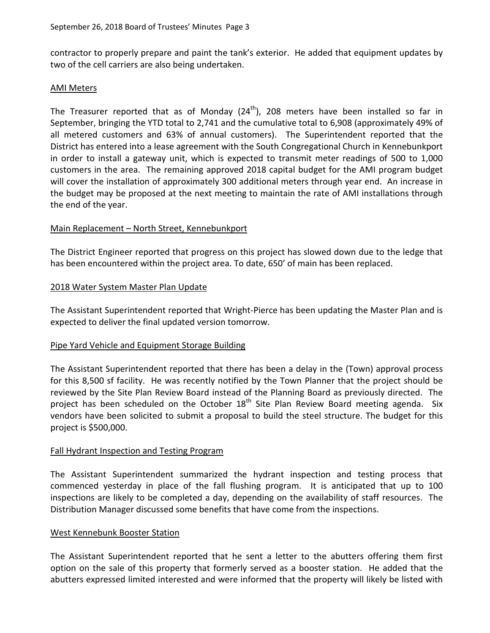contractor to properly prepare and paint the tank's exterior. He added that equipment updates by two of the cell carriers are also being undertaken.

#### AMI Meters

The Treasurer reported that as of Monday  $(24^{th})$ , 208 meters have been installed so far in September, bringing the YTD total to 2,741 and the cumulative total to 6,908 (approximately 49% of all metered customers and 63% of annual customers). The Superintendent reported that the District has entered into a lease agreement with the South Congregational Church in Kennebunkport in order to install a gateway unit, which is expected to transmit meter readings of 500 to 1,000 customers in the area. The remaining approved 2018 capital budget for the AMI program budget will cover the installation of approximately 300 additional meters through year end. An increase in the budget may be proposed at the next meeting to maintain the rate of AMI installations through the end of the year.

# Main Replacement – North Street, Kennebunkport

The District Engineer reported that progress on this project has slowed down due to the ledge that has been encountered within the project area. To date, 650' of main has been replaced.

# 2018 Water System Master Plan Update

The Assistant Superintendent reported that Wright-Pierce has been updating the Master Plan and is expected to deliver the final updated version tomorrow.

# Pipe Yard Vehicle and Equipment Storage Building

The Assistant Superintendent reported that there has been a delay in the (Town) approval process for this 8,500 sf facility. He was recently notified by the Town Planner that the project should be reviewed by the Site Plan Review Board instead of the Planning Board as previously directed. The project has been scheduled on the October  $18<sup>th</sup>$  Site Plan Review Board meeting agenda. Six vendors have been solicited to submit a proposal to build the steel structure. The budget for this project is \$500,000.

# Fall Hydrant Inspection and Testing Program

The Assistant Superintendent summarized the hydrant inspection and testing process that commenced yesterday in place of the fall flushing program. It is anticipated that up to 100 inspections are likely to be completed a day, depending on the availability of staff resources. The Distribution Manager discussed some benefits that have come from the inspections.

# West Kennebunk Booster Station

The Assistant Superintendent reported that he sent a letter to the abutters offering them first option on the sale of this property that formerly served as a booster station. He added that the abutters expressed limited interested and were informed that the property will likely be listed with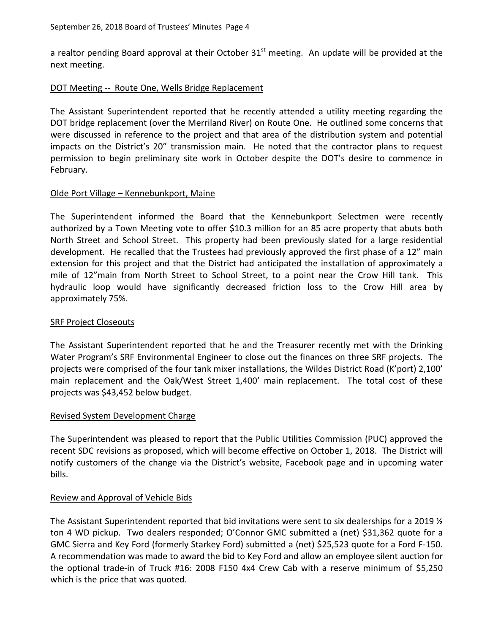a realtor pending Board approval at their October  $31<sup>st</sup>$  meeting. An update will be provided at the next meeting.

#### DOT Meeting -- Route One, Wells Bridge Replacement

The Assistant Superintendent reported that he recently attended a utility meeting regarding the DOT bridge replacement (over the Merriland River) on Route One. He outlined some concerns that were discussed in reference to the project and that area of the distribution system and potential impacts on the District's 20" transmission main. He noted that the contractor plans to request permission to begin preliminary site work in October despite the DOT's desire to commence in February.

# Olde Port Village – Kennebunkport, Maine

The Superintendent informed the Board that the Kennebunkport Selectmen were recently authorized by a Town Meeting vote to offer \$10.3 million for an 85 acre property that abuts both North Street and School Street. This property had been previously slated for a large residential development. He recalled that the Trustees had previously approved the first phase of a 12" main extension for this project and that the District had anticipated the installation of approximately a mile of 12"main from North Street to School Street, to a point near the Crow Hill tank. This hydraulic loop would have significantly decreased friction loss to the Crow Hill area by approximately 75%.

# SRF Project Closeouts

The Assistant Superintendent reported that he and the Treasurer recently met with the Drinking Water Program's SRF Environmental Engineer to close out the finances on three SRF projects. The projects were comprised of the four tank mixer installations, the Wildes District Road (K'port) 2,100' main replacement and the Oak/West Street 1,400' main replacement. The total cost of these projects was \$43,452 below budget.

#### Revised System Development Charge

The Superintendent was pleased to report that the Public Utilities Commission (PUC) approved the recent SDC revisions as proposed, which will become effective on October 1, 2018. The District will notify customers of the change via the District's website, Facebook page and in upcoming water bills.

# Review and Approval of Vehicle Bids

The Assistant Superintendent reported that bid invitations were sent to six dealerships for a 2019  $\frac{1}{2}$ ton 4 WD pickup. Two dealers responded; O'Connor GMC submitted a (net) \$31,362 quote for a GMC Sierra and Key Ford (formerly Starkey Ford) submitted a (net) \$25,523 quote for a Ford F-150. A recommendation was made to award the bid to Key Ford and allow an employee silent auction for the optional trade-in of Truck #16: 2008 F150 4x4 Crew Cab with a reserve minimum of \$5,250 which is the price that was quoted.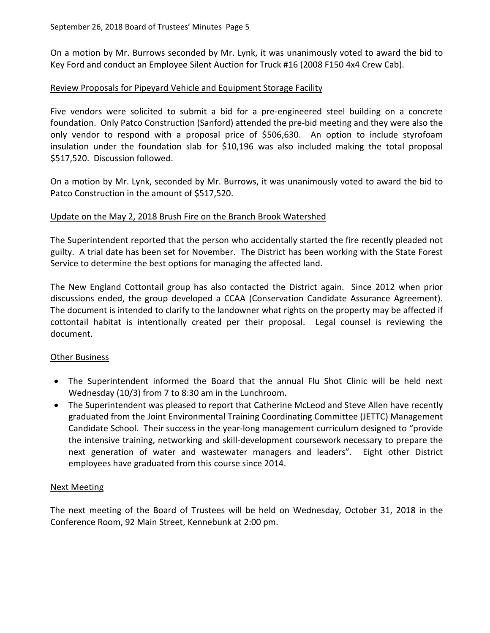On a motion by Mr. Burrows seconded by Mr. Lynk, it was unanimously voted to award the bid to Key Ford and conduct an Employee Silent Auction for Truck #16 (2008 F150 4x4 Crew Cab).

# Review Proposals for Pipeyard Vehicle and Equipment Storage Facility

Five vendors were solicited to submit a bid for a pre-engineered steel building on a concrete foundation. Only Patco Construction (Sanford) attended the pre-bid meeting and they were also the only vendor to respond with a proposal price of \$506,630. An option to include styrofoam insulation under the foundation slab for \$10,196 was also included making the total proposal \$517,520. Discussion followed.

On a motion by Mr. Lynk, seconded by Mr. Burrows, it was unanimously voted to award the bid to Patco Construction in the amount of \$517,520.

# Update on the May 2, 2018 Brush Fire on the Branch Brook Watershed

The Superintendent reported that the person who accidentally started the fire recently pleaded not guilty. A trial date has been set for November. The District has been working with the State Forest Service to determine the best options for managing the affected land.

The New England Cottontail group has also contacted the District again. Since 2012 when prior discussions ended, the group developed a CCAA (Conservation Candidate Assurance Agreement). The document is intended to clarify to the landowner what rights on the property may be affected if cottontail habitat is intentionally created per their proposal. Legal counsel is reviewing the document.

# **Other Business**

- The Superintendent informed the Board that the annual Flu Shot Clinic will be held next Wednesday (10/3) from 7 to 8:30 am in the Lunchroom.
- The Superintendent was pleased to report that Catherine McLeod and Steve Allen have recently graduated from the Joint Environmental Training Coordinating Committee (JETTC) Management Candidate School. Their success in the year-long management curriculum designed to "provide the intensive training, networking and skill-development coursework necessary to prepare the next generation of water and wastewater managers and leaders". Eight other District employees have graduated from this course since 2014.

# Next Meeting

The next meeting of the Board of Trustees will be held on Wednesday, October 31, 2018 in the Conference Room, 92 Main Street, Kennebunk at 2:00 pm.